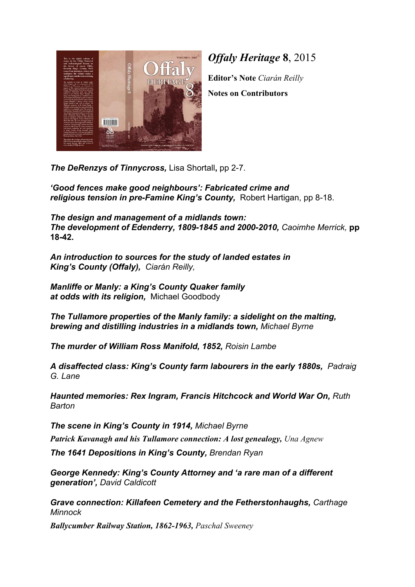

*Offaly Heritage*  **8**, 2015

**Editor's Note** *Ciarán Reilly*

**Notes on Contributors**

*The DeRenzys of Tinnycross,*  Lisa Shortall**,** pp 2-7.

*'Good fences make good neighbours': Fabricated crime and religious tension in pre-Famine King's County,*  Robert Hartigan, pp 8-18.

*The design and management of a midlands town: The development of Edenderry, 1809-1845 and 2000-2010, Caoimhe Merrick,* **pp 18-42.**

*An introduction to sources for the study of landed estates in King's County (Offaly), Ciarán Reilly,*

*Manliffe or Manly: a King's County Quaker family at odds with its religion,*  Michael Goodbody

*The Tullamore properties of the Manly family: a sidelight on the malting, brewing and distilling industries in a midlands town, Michael Byrne*

*The murder of William Ross Manifold, 1852, Roisin Lambe*

*A disaffected class: King's County farm labourers in the early 1880s, Padraig G. Lane*

*Haunted memories: Rex Ingram, Francis Hitchcock and World War On, Ruth Barton*

*The scene in King's County in 1914, Michael Byrne*

*Patrick Kavanagh and his Tullamore connection: A lost genealogy, Una Agnew*

*The 1641 Depositions in King's County, Brendan Ryan*

*George Kennedy: King's County Attorney and 'a rare man of a different generation', David Caldicott*

*Grave connection: Killafeen Cemetery and the Fetherstonhaughs, Carthage Minnock*

*Ballycumber Railway Station, 1862-1963, Paschal Sweeney*